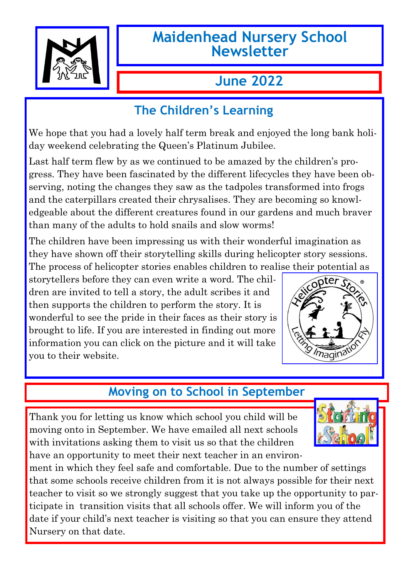

# **Maidenhead Nursery School Newsletter**

# **June 2022**

## **The Children's Learning**

We hope that you had a lovely half term break and enjoyed the long bank holiday weekend celebrating the Queen's Platinum Jubilee.

Last half term flew by as we continued to be amazed by the children's progress. They have been fascinated by the different lifecycles they have been observing, noting the changes they saw as the tadpoles transformed into frogs and the caterpillars created their chrysalises. They are becoming so knowledgeable about the different creatures found in our gardens and much braver than many of the adults to hold snails and slow worms!

The children have been impressing us with their wonderful imagination as they have shown off their storytelling skills during helicopter story sessions. The process of helicopter stories enables children to realise their potential as

storytellers before they can even write a word. The children are invited to tell a story, the adult scribes it and then supports the children to perform the story. It is wonderful to see the pride in their faces as their story is brought to life. If you are interested in finding out more information you can click on the picture and it will take you to their website.



# **Moving on to School in September**

Thank you for letting us know which school you child will be moving onto in September. We have emailed all next schools with invitations asking them to visit us so that the children have an opportunity to meet their next teacher in an environ-



ment in which they feel safe and comfortable. Due to the number of settings that some schools receive children from it is not always possible for their next teacher to visit so we strongly suggest that you take up the opportunity to participate in transition visits that all schools offer. We will inform you of the date if your child's next teacher is visiting so that you can ensure they attend Nursery on that date.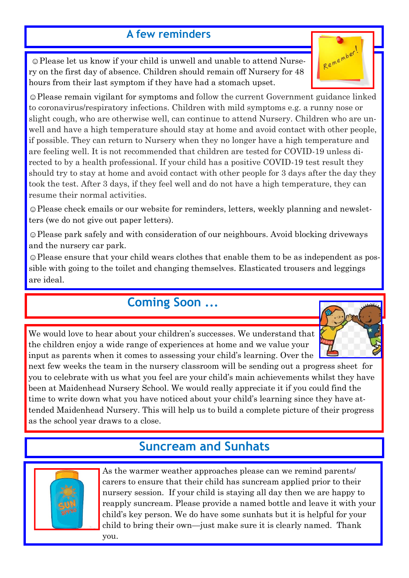#### **A few reminders**

☺Please let us know if your child is unwell and unable to attend Nursery on the first day of absence. Children should remain off Nursery for 48 hours from their last symptom if they have had a stomach upset.

☺Please remain vigilant for symptoms and follow the current Government guidance linked to coronavirus/respiratory infections. Children with mild symptoms e.g. a runny nose or slight cough, who are otherwise well, can continue to attend Nursery. Children who are unwell and have a high temperature should stay at home and avoid contact with other people, if possible. They can return to Nursery when they no longer have a high temperature and are feeling well. It is not recommended that children are tested for COVID-19 unless directed to by a health professional. If your child has a positive COVID-19 test result they should try to stay at home and avoid contact with other people for 3 days after the day they took the test. After 3 days, if they feel well and do not have a high temperature, they can resume their normal activities.

☺Please check emails or our website for reminders, letters, weekly planning and newsletters (we do not give out paper letters).

☺Please park safely and with consideration of our neighbours. Avoid blocking driveways and the nursery car park.

☺Please ensure that your child wears clothes that enable them to be as independent as possible with going to the toilet and changing themselves. Elasticated trousers and leggings are ideal.

### **Coming Soon ...**

We would love to hear about your children's successes. We understand that the children enjoy a wide range of experiences at home and we value your input as parents when it comes to assessing your child's learning. Over the

next few weeks the team in the nursery classroom will be sending out a progress sheet for you to celebrate with us what you feel are your child's main achievements whilst they have been at Maidenhead Nursery School. We would really appreciate it if you could find the time to write down what you have noticed about your child's learning since they have attended Maidenhead Nursery. This will help us to build a complete picture of their progress as the school year draws to a close.

### **Suncream and Sunhats**



As the warmer weather approaches please can we remind parents/ carers to ensure that their child has suncream applied prior to their nursery session. If your child is staying all day then we are happy to reapply suncream. Please provide a named bottle and leave it with your child's key person. We do have some sunhats but it is helpful for your child to bring their own—just make sure it is clearly named. Thank you.

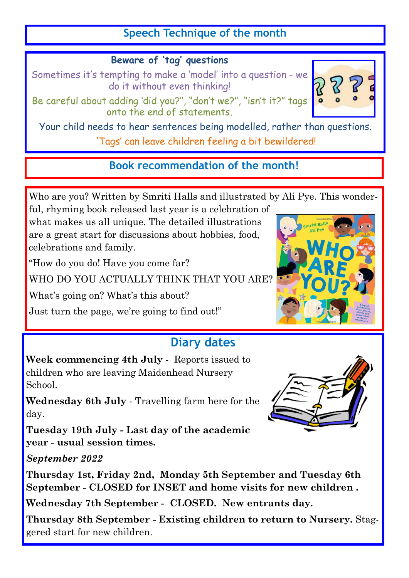#### **Speech Technique of the month**

#### **Beware of 'tag' questions**

Sometimes it's tempting to make a 'model' into a question - we do it without even thinking!

Be careful about adding 'did you?'', "don't we?", "isn't it?" tags onto the end of statements.

Your child needs to hear sentences being modelled, rather than questions. 'Tags' can leave children feeling a bit bewildered!

**Book recommendation of the month!**

Who are you? Written by Smriti Halls and illustrated by Ali Pye. This wonder-

ful, rhyming book released last year is a celebration of what makes us all unique. The detailed illustrations are a great start for discussions about hobbies, food, celebrations and family.

"How do you do! Have you come far?

WHO DO YOU ACTUALLY THINK THAT YOU ARE?

What's going on? What's this about?

Just turn the page, we're going to find out!"

#### **Diary dates**

**Week commencing 4th July** - Reports issued to children who are leaving Maidenhead Nursery School.

**Wednesday 6th July** - Travelling farm here for the day.

**Tuesday 19th July - Last day of the academic year - usual session times.**

*September 2022* 

**Thursday 1st, Friday 2nd, Monday 5th September and Tuesday 6th September - CLOSED for INSET and home visits for new children .**

**Wednesday 7th September - CLOSED. New entrants day.** 

**Thursday 8th September - Existing children to return to Nursery.** Staggered start for new children.